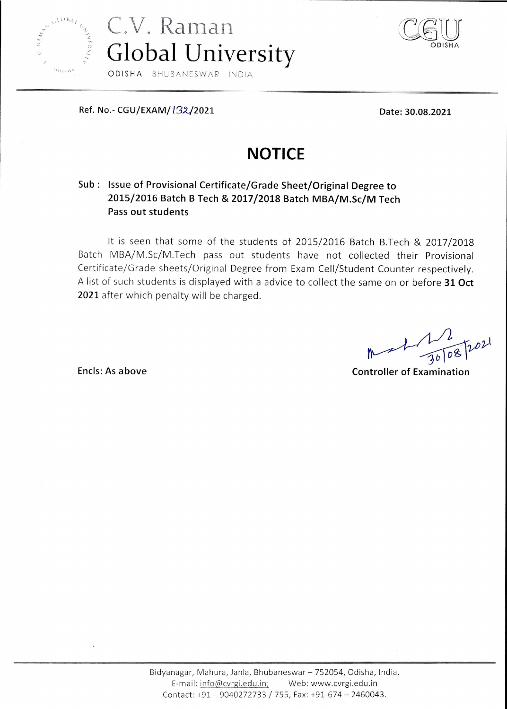



Ref. No.- CGU/EXAM/ (32/2021

Date: 30.08.2021

## **NOTICE**

## Sub : Issue of Provisional Certificate/Grade Sheet/Original Degree to 2015/2016 Batch B Tech & 2017/2018 Batch MBA/M.Sc/M Tech Pass out students

It is seen that some of the students of 2015/2016 Batch B.Tech & 2017/2018 Batch MBA/M.Sc/M.Tech pass out students have not collected their Provisional Certificate/Grade sheets/Original Degree from Exam Cell/Student Counter respectively. A list of such students is displayed with a advice to collect the same on or before 31 Oct 2021 after which penalty will be charged.

**Controller of Examination** 

Encls: As above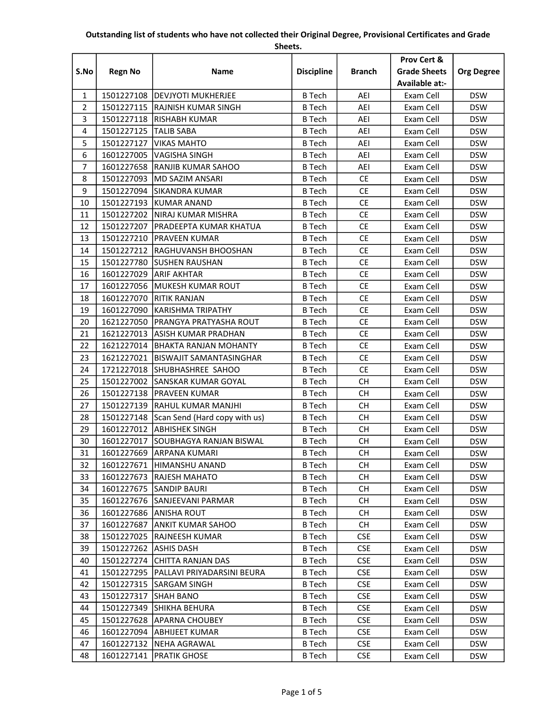## Outstanding list of students who have not collected their Original Degree, Provisional Certificates and Grade

Sheets.

|                |                |                                          |                   |               | Prov Cert &         |                   |
|----------------|----------------|------------------------------------------|-------------------|---------------|---------------------|-------------------|
| S.No           | <b>Regn No</b> | <b>Name</b>                              | <b>Discipline</b> | <b>Branch</b> | <b>Grade Sheets</b> | <b>Org Degree</b> |
|                |                |                                          |                   |               | Available at:-      |                   |
| $\mathbf{1}$   |                | 1501227108   DEVJYOTI MUKHERJEE          | <b>B</b> Tech     | AEI           | Exam Cell           | <b>DSW</b>        |
| $\overline{2}$ |                | 1501227115 RAJNISH KUMAR SINGH           | <b>B</b> Tech     | AEI           | Exam Cell           | <b>DSW</b>        |
| 3              |                | 1501227118  RISHABH KUMAR                | <b>B</b> Tech     | AEI           | Exam Cell           | <b>DSW</b>        |
| 4              | 1501227125     | <b>TALIB SABA</b>                        | <b>B</b> Tech     | AEI           | Exam Cell           | <b>DSW</b>        |
| 5              | 1501227127     | <b>VIKAS MAHTO</b>                       | <b>B</b> Tech     | AEI           | Exam Cell           | <b>DSW</b>        |
| 6              | 1601227005     | <b>VAGISHA SINGH</b>                     | <b>B</b> Tech     | AEI           | Exam Cell           | <b>DSW</b>        |
| $\overline{7}$ |                | 1601227658 RANJIB KUMAR SAHOO            | <b>B</b> Tech     | AEI           | Exam Cell           | <b>DSW</b>        |
| 8              | 1501227093     | <b>MD SAZIM ANSARI</b>                   | <b>B</b> Tech     | <b>CE</b>     | Exam Cell           | <b>DSW</b>        |
| 9              |                | 1501227094 SIKANDRA KUMAR                | <b>B</b> Tech     | <b>CE</b>     | Exam Cell           | <b>DSW</b>        |
| 10             |                | 1501227193 KUMAR ANAND                   | <b>B</b> Tech     | <b>CE</b>     | Exam Cell           | <b>DSW</b>        |
| 11             |                | 1501227202   NIRAJ KUMAR MISHRA          | <b>B</b> Tech     | <b>CE</b>     | Exam Cell           | <b>DSW</b>        |
| 12             | 1501227207     | <b>PRADEEPTA KUMAR KHATUA</b>            | <b>B</b> Tech     | <b>CE</b>     | Exam Cell           | <b>DSW</b>        |
| 13             |                | 1501227210   PRAVEEN KUMAR               | <b>B</b> Tech     | <b>CE</b>     | Exam Cell           | <b>DSW</b>        |
| 14             |                | 1501227212 RAGHUVANSH BHOOSHAN           | <b>B</b> Tech     | <b>CE</b>     | Exam Cell           | <b>DSW</b>        |
| 15             | 1501227780     | <b>ISUSHEN RAUSHAN</b>                   | <b>B</b> Tech     | <b>CE</b>     | Exam Cell           | <b>DSW</b>        |
| 16             |                | 1601227029 ARIF AKHTAR                   | <b>B</b> Tech     | <b>CE</b>     | Exam Cell           | <b>DSW</b>        |
| 17             |                | 1601227056 MUKESH KUMAR ROUT             | <b>B</b> Tech     | <b>CE</b>     | Exam Cell           | <b>DSW</b>        |
| 18             |                | 1601227070 RITIK RANJAN                  | <b>B</b> Tech     | <b>CE</b>     | Exam Cell           | <b>DSW</b>        |
| 19             | 1601227090     | <b>KARISHMA TRIPATHY</b>                 | <b>B</b> Tech     | <b>CE</b>     | Exam Cell           | <b>DSW</b>        |
| 20             | 1621227050     | <b>PRANGYA PRATYASHA ROUT</b>            | <b>B</b> Tech     | <b>CE</b>     | Exam Cell           | <b>DSW</b>        |
| 21             | 1621227013     | <b>ASISH KUMAR PRADHAN</b>               | <b>B</b> Tech     | <b>CE</b>     | Exam Cell           | <b>DSW</b>        |
| 22             |                | 1621227014   BHAKTA RANJAN MOHANTY       | <b>B</b> Tech     | <b>CE</b>     | Exam Cell           | <b>DSW</b>        |
| 23             | 1621227021     | <b>BISWAJIT SAMANTASINGHAR</b>           | <b>B</b> Tech     | <b>CE</b>     | Exam Cell           | <b>DSW</b>        |
| 24             |                | 1721227018 SHUBHASHREE SAHOO             | <b>B</b> Tech     | <b>CE</b>     | Exam Cell           | <b>DSW</b>        |
| 25             | 1501227002     | <b>SANSKAR KUMAR GOYAL</b>               | <b>B</b> Tech     | <b>CH</b>     | Exam Cell           | <b>DSW</b>        |
| 26             |                | 1501227138   PRAVEEN KUMAR               | <b>B</b> Tech     | <b>CH</b>     | Exam Cell           | <b>DSW</b>        |
| 27             |                | 1501227139 RAHUL KUMAR MANJHI            | <b>B</b> Tech     | <b>CH</b>     | Exam Cell           | <b>DSW</b>        |
| 28             |                | 1501227148 Scan Send (Hard copy with us) | <b>B</b> Tech     | <b>CH</b>     | Exam Cell           | <b>DSW</b>        |
| 29             |                | 1601227012 ABHISHEK SINGH                | <b>B</b> Tech     | <b>CH</b>     | Exam Cell           | <b>DSW</b>        |
| 30             |                | 1601227017 SOUBHAGYA RANJAN BISWAL       | <b>B</b> Tech     | <b>CH</b>     | Exam Cell           | <b>DSW</b>        |
| 31             |                | 1601227669 ARPANA KUMARI                 | <b>B</b> Tech     | CH            | Exam Cell           | <b>DSW</b>        |
| 32             | 1601227671     | HIMANSHU ANAND                           | B Tech            | CH.           | Exam Cell           | <b>DSW</b>        |
| 33             | 1601227673     | <b>RAJESH MAHATO</b>                     | <b>B</b> Tech     | <b>CH</b>     | Exam Cell           | <b>DSW</b>        |
| 34             |                | 1601227675 SANDIP BAURI                  | <b>B</b> Tech     | <b>CH</b>     | Exam Cell           | <b>DSW</b>        |
| 35             | 1601227676     | <b>SANJEEVANI PARMAR</b>                 | B Tech            | CH.           | Exam Cell           | <b>DSW</b>        |
| 36             | 1601227686     | <b>ANISHA ROUT</b>                       | B Tech            | CH.           | Exam Cell           | <b>DSW</b>        |
| 37             | 1601227687     | <b>ANKIT KUMAR SAHOO</b>                 | <b>B</b> Tech     | CH.           | Exam Cell           | <b>DSW</b>        |
| 38             | 1501227025     | <b>RAJNEESH KUMAR</b>                    | B Tech            | <b>CSE</b>    | Exam Cell           | <b>DSW</b>        |
| 39             | 1501227262     | <b>ASHIS DASH</b>                        | <b>B</b> Tech     | <b>CSE</b>    | Exam Cell           | <b>DSW</b>        |
| 40             | 1501227274     | <b>CHITTA RANJAN DAS</b>                 | B Tech            | <b>CSE</b>    | Exam Cell           | <b>DSW</b>        |
| 41             | 1501227295     | PALLAVI PRIYADARSINI BEURA               | <b>B</b> Tech     | <b>CSE</b>    | Exam Cell           | <b>DSW</b>        |
| 42             | 1501227315     | <b>SARGAM SINGH</b>                      | B Tech            | <b>CSE</b>    | Exam Cell           | <b>DSW</b>        |
| 43             | 1501227317     | <b>SHAH BANO</b>                         | B Tech            | <b>CSE</b>    | Exam Cell           | <b>DSW</b>        |
| 44             | 1501227349     | <b>SHIKHA BEHURA</b>                     | B Tech            | <b>CSE</b>    | Exam Cell           | <b>DSW</b>        |
| 45             | 1501227628     | <b>APARNA CHOUBEY</b>                    | B Tech            | <b>CSE</b>    | Exam Cell           | <b>DSW</b>        |
| 46             | 1601227094     | <b>ABHIJEET KUMAR</b>                    | <b>B</b> Tech     | <b>CSE</b>    | Exam Cell           | <b>DSW</b>        |
| 47             |                | 1601227132   NEHA AGRAWAL                | B Tech            | <b>CSE</b>    | Exam Cell           | <b>DSW</b>        |
| 48             |                | 1601227141   PRATIK GHOSE                | <b>B</b> Tech     | <b>CSE</b>    | Exam Cell           | <b>DSW</b>        |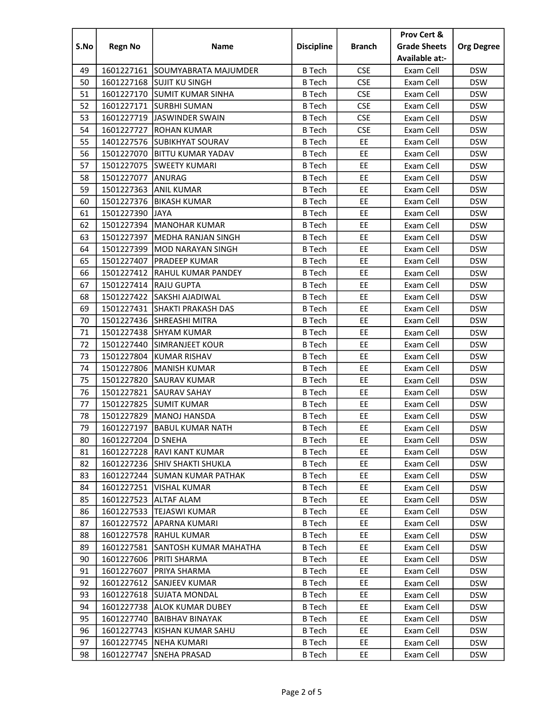|          |                          |                                               |                   |               | Prov Cert &            |                          |
|----------|--------------------------|-----------------------------------------------|-------------------|---------------|------------------------|--------------------------|
| S.No     | <b>Regn No</b>           | Name                                          | <b>Discipline</b> | <b>Branch</b> | <b>Grade Sheets</b>    | <b>Org Degree</b>        |
|          |                          |                                               |                   |               | Available at:-         |                          |
| 49       |                          | 1601227161 SOUMYABRATA MAJUMDER               | <b>B</b> Tech     | <b>CSE</b>    | Exam Cell              | <b>DSW</b>               |
| 50       |                          | 1601227168 SUJIT KU SINGH                     | <b>B</b> Tech     | <b>CSE</b>    | Exam Cell              | <b>DSW</b>               |
| 51       |                          | 1601227170 SUMIT KUMAR SINHA                  | <b>B</b> Tech     | <b>CSE</b>    | Exam Cell              | <b>DSW</b>               |
| 52       |                          | 1601227171 SURBHI SUMAN                       | <b>B</b> Tech     | <b>CSE</b>    | Exam Cell              | <b>DSW</b>               |
| 53       |                          | 1601227719 JASWINDER SWAIN                    | <b>B</b> Tech     | <b>CSE</b>    | Exam Cell              | <b>DSW</b>               |
| 54       | 1601227727               | <b>ROHAN KUMAR</b>                            | <b>B</b> Tech     | <b>CSE</b>    | Exam Cell              | <b>DSW</b>               |
| 55       |                          | 1401227576 SUBIKHYAT SOURAV                   | <b>B</b> Tech     | EE            | Exam Cell              | <b>DSW</b>               |
| 56       |                          | 1501227070   BITTU KUMAR YADAV                | <b>B</b> Tech     | EE            | Exam Cell              | <b>DSW</b>               |
| 57       |                          | 1501227075 SWEETY KUMARI                      | <b>B</b> Tech     | EE            | Exam Cell              | <b>DSW</b>               |
| 58       | 1501227077               | <b>ANURAG</b>                                 | <b>B</b> Tech     | EE            | Exam Cell              | <b>DSW</b>               |
| 59       | 1501227363               | <b>ANIL KUMAR</b>                             | <b>B</b> Tech     | EE            | Exam Cell              | <b>DSW</b>               |
| 60       | 1501227376               | <b>BIKASH KUMAR</b>                           | <b>B</b> Tech     | EE            | Exam Cell              | <b>DSW</b>               |
| 61       | 1501227390               | <b>JAYA</b>                                   | <b>B</b> Tech     | EE            | Exam Cell              | <b>DSW</b>               |
| 62       | 1501227394               | <b>MANOHAR KUMAR</b>                          | <b>B</b> Tech     | EE            | Exam Cell              | <b>DSW</b>               |
| 63       | 1501227397               | <b>MEDHA RANJAN SINGH</b>                     | <b>B</b> Tech     | EE            | Exam Cell              | <b>DSW</b>               |
| 64       | 1501227399               | <b>MOD NARAYAN SINGH</b>                      | <b>B</b> Tech     | EE            | Exam Cell              | <b>DSW</b>               |
| 65       | 1501227407               | <b>PRADEEP KUMAR</b>                          | <b>B</b> Tech     | EE            | Exam Cell              | <b>DSW</b>               |
| 66       | 1501227412               | <b>RAHUL KUMAR PANDEY</b>                     | <b>B</b> Tech     | EE            | Exam Cell              | <b>DSW</b>               |
| 67       | 1501227414               | <b>RAJU GUPTA</b>                             | <b>B</b> Tech     | EE            | Exam Cell              | <b>DSW</b>               |
| 68       | 1501227422               | SAKSHI AJADIWAL                               | <b>B</b> Tech     | EE            | Exam Cell              | <b>DSW</b>               |
| 69       |                          | 1501227431 SHAKTI PRAKASH DAS                 | <b>B</b> Tech     | EE            | Exam Cell              | <b>DSW</b>               |
| 70       |                          | 1501227436 SHREASHI MITRA                     | <b>B</b> Tech     | EE            | Exam Cell              | <b>DSW</b>               |
|          |                          |                                               | <b>B</b> Tech     |               |                        |                          |
| 71<br>72 | 1501227438<br>1501227440 | <b>SHYAM KUMAR</b>                            | <b>B</b> Tech     | EE<br>EE      | Exam Cell              | <b>DSW</b>               |
| 73       | 1501227804               | <b>SIMRANJEET KOUR</b><br><b>KUMAR RISHAV</b> | <b>B</b> Tech     | EE            | Exam Cell<br>Exam Cell | <b>DSW</b><br><b>DSW</b> |
| 74       |                          | 1501227806   MANISH KUMAR                     | <b>B</b> Tech     | EE            | Exam Cell              | <b>DSW</b>               |
| 75       | 1501227820               | <b>SAURAV KUMAR</b>                           | <b>B</b> Tech     | EE            | Exam Cell              | <b>DSW</b>               |
| 76       |                          | 1501227821 SAURAV SAHAY                       | <b>B</b> Tech     | EE            | Exam Cell              | <b>DSW</b>               |
| 77       | 1501227825               | <b>SUMIT KUMAR</b>                            |                   | EE            |                        | <b>DSW</b>               |
|          |                          |                                               | <b>B</b> Tech     |               | Exam Cell              |                          |
| 78       |                          | 1501227829   MANOJ HANSDA                     | <b>B</b> Tech     | EE            | Exam Cell              | <b>DSW</b>               |
| 79       |                          | 1601227197 BABUL KUMAR NATH                   | <b>B</b> Tech     | EE            | Exam Cell              | <b>DSW</b>               |
| 80       | 1601227204 D SNEHA       |                                               | B Tech            | EE            | Exam Cell              | <b>DSW</b>               |
| 81       |                          | 1601227228  RAVI KANT KUMAR                   | <b>B</b> Tech     | EE            | Exam Cell              | <b>DSW</b>               |
| 82       |                          | 1601227236 SHIV SHAKTI SHUKLA                 | <b>B</b> Tech     | EE            | Exam Cell              | <b>DSW</b>               |
| 83       | 1601227244               | <b>SUMAN KUMAR PATHAK</b>                     | <b>B</b> Tech     | EE            | Exam Cell              | <b>DSW</b>               |
| 84       | 1601227251               | <b>VISHAL KUMAR</b>                           | <b>B</b> Tech     | EE            | Exam Cell              | <b>DSW</b>               |
| 85       | 1601227523               | <b>ALTAF ALAM</b>                             | <b>B</b> Tech     | EE            | Exam Cell              | <b>DSW</b>               |
| 86       | 1601227533               | <b>TEJASWI KUMAR</b>                          | <b>B</b> Tech     | EE            | Exam Cell              | <b>DSW</b>               |
| 87       | 1601227572               | <b>APARNA KUMARI</b>                          | <b>B</b> Tech     | EE            | Exam Cell              | <b>DSW</b>               |
| 88       |                          | 1601227578 RAHUL KUMAR                        | <b>B</b> Tech     | EE            | Exam Cell              | <b>DSW</b>               |
| 89       | 1601227581               | <b>SANTOSH KUMAR MAHATHA</b>                  | B Tech            | EE            | Exam Cell              | <b>DSW</b>               |
| 90       | 1601227606               | <b>PRITI SHARMA</b>                           | <b>B</b> Tech     | EE            | Exam Cell              | <b>DSW</b>               |
| 91       | 1601227607               | PRIYA SHARMA                                  | <b>B</b> Tech     | EE            | Exam Cell              | <b>DSW</b>               |
| 92       |                          | 1601227612 SANJEEV KUMAR                      | <b>B</b> Tech     | EE            | Exam Cell              | <b>DSW</b>               |
| 93       |                          | 1601227618 SUJATA MONDAL                      | <b>B</b> Tech     | EE            | Exam Cell              | <b>DSW</b>               |
| 94       |                          | 1601227738   ALOK KUMAR DUBEY                 | <b>B</b> Tech     | EE            | Exam Cell              | <b>DSW</b>               |
| 95       | 1601227740               | <b>BAIBHAV BINAYAK</b>                        | <b>B</b> Tech     | EE            | Exam Cell              | <b>DSW</b>               |
| 96       | 1601227743               | KISHAN KUMAR SAHU                             | <b>B</b> Tech     | EE            | Exam Cell              | <b>DSW</b>               |
| 97       | 1601227745               | <b>NEHA KUMARI</b>                            | <b>B</b> Tech     | EE            | Exam Cell              | <b>DSW</b>               |
| 98       | 1601227747               | SNEHA PRASAD                                  | B Tech            | EE            | Exam Cell              | <b>DSW</b>               |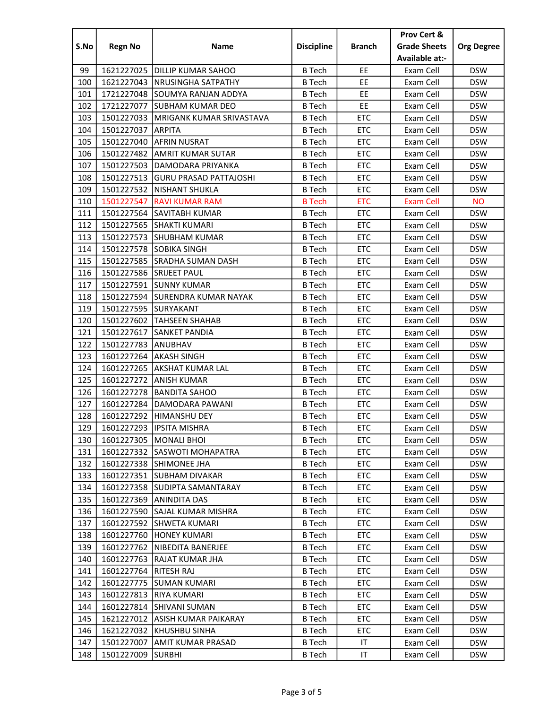|      |                      |                                 |                   |               | Prov Cert &         |                   |
|------|----------------------|---------------------------------|-------------------|---------------|---------------------|-------------------|
| S.No | <b>Regn No</b>       | Name                            | <b>Discipline</b> | <b>Branch</b> | <b>Grade Sheets</b> | <b>Org Degree</b> |
|      |                      |                                 |                   |               | Available at:-      |                   |
| 99   |                      | 1621227025   DILLIP KUMAR SAHOO | <b>B</b> Tech     | EE            | Exam Cell           | <b>DSW</b>        |
| 100  | 1621227043           | <b>NRUSINGHA SATPATHY</b>       | <b>B</b> Tech     | EE            | Exam Cell           | <b>DSW</b>        |
| 101  |                      | 1721227048 SOUMYA RANJAN ADDYA  | <b>B</b> Tech     | EE            | Exam Cell           | <b>DSW</b>        |
| 102  | 1721227077           | <b>SUBHAM KUMAR DEO</b>         | <b>B</b> Tech     | EE            | Exam Cell           | <b>DSW</b>        |
| 103  | 1501227033           | MRIGANK KUMAR SRIVASTAVA        | <b>B</b> Tech     | <b>ETC</b>    | Exam Cell           | <b>DSW</b>        |
| 104  | 1501227037           | <b>ARPITA</b>                   | <b>B</b> Tech     | <b>ETC</b>    | Exam Cell           | <b>DSW</b>        |
| 105  | 1501227040           | <b>AFRIN NUSRAT</b>             | <b>B</b> Tech     | <b>ETC</b>    | Exam Cell           | <b>DSW</b>        |
| 106  | 1501227482           | <b>AMRIT KUMAR SUTAR</b>        | <b>B</b> Tech     | <b>ETC</b>    | Exam Cell           | <b>DSW</b>        |
| 107  | 1501227503           | DAMODARA PRIYANKA               | <b>B</b> Tech     | <b>ETC</b>    | Exam Cell           | <b>DSW</b>        |
| 108  | 1501227513           | <b>GURU PRASAD PATTAJOSHI</b>   | <b>B</b> Tech     | <b>ETC</b>    | Exam Cell           | <b>DSW</b>        |
| 109  | 1501227532           | NISHANT SHUKLA                  | <b>B</b> Tech     | <b>ETC</b>    | Exam Cell           | <b>DSW</b>        |
| 110  | 1501227547           | <b>RAVI KUMAR RAM</b>           | <b>B</b> Tech     | <b>ETC</b>    | <b>Exam Cell</b>    | <b>NO</b>         |
| 111  |                      | 1501227564 SAVITABH KUMAR       | <b>B</b> Tech     | <b>ETC</b>    | Exam Cell           | <b>DSW</b>        |
| 112  | 1501227565           | <b>SHAKTI KUMARI</b>            | <b>B</b> Tech     | <b>ETC</b>    | Exam Cell           | <b>DSW</b>        |
| 113  | 1501227573           | <b>ISHUBHAM KUMAR</b>           | <b>B</b> Tech     | <b>ETC</b>    | Exam Cell           | <b>DSW</b>        |
| 114  |                      | 1501227578 SOBIKA SINGH         | B Tech            | <b>ETC</b>    | Exam Cell           | <b>DSW</b>        |
| 115  |                      | 1501227585 SRADHA SUMAN DASH    | <b>B</b> Tech     | <b>ETC</b>    | Exam Cell           | <b>DSW</b>        |
| 116  |                      | 1501227586 SRIJEET PAUL         | <b>B</b> Tech     | <b>ETC</b>    | Exam Cell           | <b>DSW</b>        |
| 117  | 1501227591           | <b>ISUNNY KUMAR</b>             | <b>B</b> Tech     | <b>ETC</b>    | Exam Cell           | <b>DSW</b>        |
| 118  |                      | 1501227594 SURENDRA KUMAR NAYAK | <b>B</b> Tech     | <b>ETC</b>    | Exam Cell           | <b>DSW</b>        |
| 119  | 1501227595 SURYAKANT |                                 | <b>B</b> Tech     | <b>ETC</b>    | Exam Cell           | <b>DSW</b>        |
| 120  | 1501227602           | <b>TAHSEEN SHAHAB</b>           | <b>B</b> Tech     | <b>ETC</b>    | Exam Cell           | <b>DSW</b>        |
| 121  | 1501227617           | <b>SANKET PANDIA</b>            | <b>B</b> Tech     | <b>ETC</b>    | Exam Cell           | <b>DSW</b>        |
| 122  | 1501227783           | ANUBHAV                         | <b>B</b> Tech     | <b>ETC</b>    | Exam Cell           | <b>DSW</b>        |
| 123  | 1601227264           | <b>AKASH SINGH</b>              | <b>B</b> Tech     | <b>ETC</b>    | Exam Cell           | <b>DSW</b>        |
| 124  | 1601227265           | <b>AKSHAT KUMAR LAL</b>         | <b>B</b> Tech     | <b>ETC</b>    | Exam Cell           | <b>DSW</b>        |
| 125  | 1601227272           | <b>ANISH KUMAR</b>              | <b>B</b> Tech     | <b>ETC</b>    | Exam Cell           | <b>DSW</b>        |
| 126  | 1601227278           | <b>BANDITA SAHOO</b>            | <b>B</b> Tech     | <b>ETC</b>    | Exam Cell           | <b>DSW</b>        |
| 127  | 1601227284           | DAMODARA PAWANI                 | <b>B</b> Tech     | <b>ETC</b>    | Exam Cell           | <b>DSW</b>        |
| 128  | 1601227292           | HIMANSHU DEY                    | <b>B</b> Tech     | <b>ETC</b>    | Exam Cell           | <b>DSW</b>        |
| 129  |                      | 1601227293   IPSITA MISHRA      | <b>B</b> Tech     | ETC           | Exam Cell           | <b>DSW</b>        |
| 130  |                      | 1601227305   MONALI BHOI        | B Tech            | <b>ETC</b>    | Exam Cell           | <b>DSW</b>        |
| 131  |                      | 1601227332 SASWOTI MOHAPATRA    | B Tech            | <b>ETC</b>    | Exam Cell           | <b>DSW</b>        |
| 132  |                      | 1601227338 SHIMONEE JHA         | B Tech            | <b>ETC</b>    | Exam Cell           | <b>DSW</b>        |
| 133  |                      | 1601227351 SUBHAM DIVAKAR       | <b>B</b> Tech     | <b>ETC</b>    | Exam Cell           | <b>DSW</b>        |
| 134  |                      | 1601227358 SUDIPTA SAMANTARAY   | B Tech            | <b>ETC</b>    | Exam Cell           | <b>DSW</b>        |
| 135  | 1601227369           | <b>ANINDITA DAS</b>             | <b>B</b> Tech     | <b>ETC</b>    | Exam Cell           | <b>DSW</b>        |
| 136  | 1601227590           | <b>SAJAL KUMAR MISHRA</b>       | <b>B</b> Tech     | <b>ETC</b>    | Exam Cell           | <b>DSW</b>        |
| 137  | 1601227592           | <b>SHWETA KUMARI</b>            | <b>B</b> Tech     | <b>ETC</b>    | Exam Cell           | <b>DSW</b>        |
| 138  | 1601227760           | <b>HONEY KUMARI</b>             | <b>B</b> Tech     | <b>ETC</b>    | Exam Cell           | <b>DSW</b>        |
| 139  | 1601227762           | <b>NIBEDITA BANERJEE</b>        | B Tech            | <b>ETC</b>    | Exam Cell           | <b>DSW</b>        |
| 140  | 1601227763           | <b>RAJAT KUMAR JHA</b>          | B Tech            | <b>ETC</b>    | Exam Cell           | <b>DSW</b>        |
| 141  | 1601227764           | RITESH RAJ                      | <b>B</b> Tech     | <b>ETC</b>    | Exam Cell           | <b>DSW</b>        |
| 142  | 1601227775           | <b>SUMAN KUMARI</b>             | <b>B</b> Tech     | <b>ETC</b>    | Exam Cell           | <b>DSW</b>        |
| 143  | 1601227813           | <b>RIYA KUMARI</b>              | B Tech            | <b>ETC</b>    | Exam Cell           | <b>DSW</b>        |
| 144  | 1601227814           | <b>SHIVANI SUMAN</b>            | B Tech            | ETC           | Exam Cell           | <b>DSW</b>        |
| 145  | 1621227012           | ASISH KUMAR PAIKARAY            | <b>B</b> Tech     | <b>ETC</b>    | Exam Cell           | <b>DSW</b>        |
| 146  | 1621227032           | KHUSHBU SINHA                   | <b>B</b> Tech     | <b>ETC</b>    | Exam Cell           | <b>DSW</b>        |
| 147  | 1501227007           | AMIT KUMAR PRASAD               | <b>B</b> Tech     | ΙT            | Exam Cell           | <b>DSW</b>        |
| 148  | 1501227009           | <b>SURBHI</b>                   | <b>B</b> Tech     | IT            | Exam Cell           | <b>DSW</b>        |
|      |                      |                                 |                   |               |                     |                   |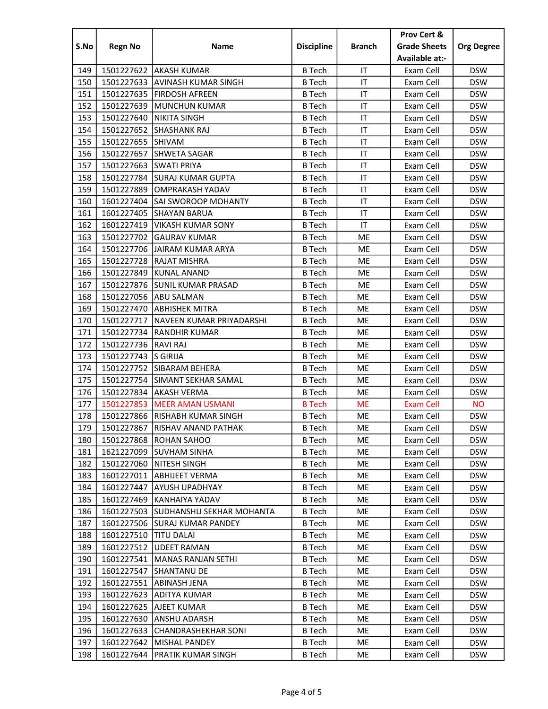|      |                       |                                 |                   |               | Prov Cert &         |                   |
|------|-----------------------|---------------------------------|-------------------|---------------|---------------------|-------------------|
| S.No | <b>Regn No</b>        | <b>Name</b>                     | <b>Discipline</b> | <b>Branch</b> | <b>Grade Sheets</b> | <b>Org Degree</b> |
|      |                       |                                 |                   |               | Available at:-      |                   |
| 149  |                       | 1501227622   AKASH KUMAR        | <b>B</b> Tech     | IT            | Exam Cell           | <b>DSW</b>        |
| 150  | 1501227633            | AVINASH KUMAR SINGH             | <b>B</b> Tech     | IT            | Exam Cell           | <b>DSW</b>        |
| 151  |                       | 1501227635   FIRDOSH AFREEN     | <b>B</b> Tech     | IT            | Exam Cell           | <b>DSW</b>        |
| 152  | 1501227639            | MUNCHUN KUMAR                   | <b>B</b> Tech     | IT            | Exam Cell           | <b>DSW</b>        |
| 153  | 1501227640            | <b>NIKITA SINGH</b>             | <b>B</b> Tech     | IT            | Exam Cell           | <b>DSW</b>        |
| 154  | 1501227652            | <b>SHASHANK RAJ</b>             | <b>B</b> Tech     | IT            | Exam Cell           | <b>DSW</b>        |
| 155  | 1501227655 SHIVAM     |                                 | <b>B</b> Tech     | IT            | Exam Cell           | <b>DSW</b>        |
| 156  |                       | 1501227657 SHWETA SAGAR         | <b>B</b> Tech     | IT            | Exam Cell           | <b>DSW</b>        |
| 157  | 1501227663            | <b>SWATI PRIYA</b>              | <b>B</b> Tech     | IT            | Exam Cell           | <b>DSW</b>        |
| 158  | 1501227784            | <b>SURAJ KUMAR GUPTA</b>        | <b>B</b> Tech     | IT            | Exam Cell           | <b>DSW</b>        |
| 159  | 1501227889            | <b>OMPRAKASH YADAV</b>          | <b>B</b> Tech     | IT            | Exam Cell           | <b>DSW</b>        |
| 160  |                       | 1601227404 SAI SWOROOP MOHANTY  | <b>B</b> Tech     | IT            | Exam Cell           | <b>DSW</b>        |
| 161  | 1601227405            | <b>SHAYAN BARUA</b>             | <b>B</b> Tech     | IT            | Exam Cell           | <b>DSW</b>        |
| 162  | 1601227419            | <b>VIKASH KUMAR SONY</b>        | <b>B</b> Tech     | IT            | Exam Cell           | <b>DSW</b>        |
| 163  | 1501227702            | <b>GAURAV KUMAR</b>             | <b>B</b> Tech     | ME            | Exam Cell           | <b>DSW</b>        |
| 164  | 1501227706            | <b>JAIRAM KUMAR ARYA</b>        | B Tech            | ME            | Exam Cell           | <b>DSW</b>        |
| 165  |                       | 1501227728 RAJAT MISHRA         | <b>B</b> Tech     | ME            | Exam Cell           | <b>DSW</b>        |
| 166  | 1501227849            | <b>KUNAL ANAND</b>              | <b>B</b> Tech     | ME            | Exam Cell           | <b>DSW</b>        |
| 167  |                       | 1501227876 SUNIL KUMAR PRASAD   | <b>B</b> Tech     | ME            | Exam Cell           | <b>DSW</b>        |
| 168  |                       | 1501227056 ABU SALMAN           | <b>B</b> Tech     | ME            | Exam Cell           | <b>DSW</b>        |
| 169  |                       | 1501227470 ABHISHEK MITRA       | <b>B</b> Tech     | ME            | Exam Cell           | <b>DSW</b>        |
| 170  | 1501227717            | NAVEEN KUMAR PRIYADARSHI        | <b>B</b> Tech     | ME            | Exam Cell           | <b>DSW</b>        |
| 171  | 1501227734            | <b>RANDHIR KUMAR</b>            | <b>B</b> Tech     | ME            | Exam Cell           | <b>DSW</b>        |
| 172  | 1501227736 RAVI RAJ   |                                 | <b>B</b> Tech     | ME            | Exam Cell           | <b>DSW</b>        |
| 173  | 1501227743            | <b>S GIRIJA</b>                 | <b>B</b> Tech     | <b>ME</b>     | Exam Cell           | <b>DSW</b>        |
| 174  |                       | 1501227752 SIBARAM BEHERA       | <b>B</b> Tech     | ME            | Exam Cell           | <b>DSW</b>        |
| 175  | 1501227754            | <b>SIMANT SEKHAR SAMAL</b>      | <b>B</b> Tech     | ME            | Exam Cell           | <b>DSW</b>        |
| 176  | 1501227834            | <b>AKASH VERMA</b>              | <b>B</b> Tech     | ME            | Exam Cell           | <b>DSW</b>        |
| 177  | 1501227853            | <b>MEER AMAN USMANI</b>         | <b>B</b> Tech     | <b>ME</b>     | <b>Exam Cell</b>    | <b>NO</b>         |
| 178  |                       | 1501227866 RISHABH KUMAR SINGH  | <b>B</b> Tech     | ME            | Exam Cell           | <b>DSW</b>        |
| 179  |                       | 1501227867 RISHAV ANAND PATHAK  | <b>B</b> Tech     | ME            | Exam Cell           | <b>DSW</b>        |
| 180  |                       | 1501227868 ROHAN SAHOO          | B Tech            | ME            | Exam Cell           | <b>DSW</b>        |
| 181  |                       | 1621227099 SUVHAM SINHA         | <b>B</b> Tech     | ME            | Exam Cell           | <b>DSW</b>        |
| 182  | 1501227060            | <b>INITESH SINGH</b>            | B Tech            | ME            | Exam Cell           | <b>DSW</b>        |
| 183  | 1601227011            | <b>ABHIJEET VERMA</b>           | <b>B</b> Tech     | ME            | Exam Cell           | <b>DSW</b>        |
| 184  | 1601227447            | AYUSH UPADHYAY                  | B Tech            | ME            | Exam Cell           | <b>DSW</b>        |
| 185  | 1601227469            | <b>IKANHAIYA YADAV</b>          | <b>B</b> Tech     | ME            | Exam Cell           | <b>DSW</b>        |
| 186  | 1601227503            | SUDHANSHU SEKHAR MOHANTA        | <b>B</b> Tech     | ME            | Exam Cell           | <b>DSW</b>        |
| 187  | 1601227506            | <b>SURAJ KUMAR PANDEY</b>       | <b>B</b> Tech     | ME            | Exam Cell           | <b>DSW</b>        |
| 188  | 1601227510 TITU DALAI |                                 | <b>B</b> Tech     | ME            | Exam Cell           | <b>DSW</b>        |
| 189  | 1601227512            | <b>UDEET RAMAN</b>              | B Tech            | ME            | Exam Cell           | <b>DSW</b>        |
| 190  | 1601227541            | MANAS RANJAN SETHI              | B Tech            | ME            | Exam Cell           | <b>DSW</b>        |
| 191  | 1601227547            | ISHANTANU DE                    | <b>B</b> Tech     | ME            | Exam Cell           | <b>DSW</b>        |
| 192  | 1601227551            | <b>ABINASH JENA</b>             | <b>B</b> Tech     | ME            | Exam Cell           | <b>DSW</b>        |
| 193  | 1601227623            | <b>ADITYA KUMAR</b>             | B Tech            | ME            | Exam Cell           | <b>DSW</b>        |
| 194  | 1601227625            | <b>AJEET KUMAR</b>              | <b>B</b> Tech     | ME            | Exam Cell           | <b>DSW</b>        |
| 195  | 1601227630            | ANSHU ADARSH                    | <b>B</b> Tech     | ME            | Exam Cell           | <b>DSW</b>        |
| 196  | 1601227633            | <b>CHANDRASHEKHAR SONI</b>      | B Tech            | ME            | Exam Cell           | <b>DSW</b>        |
| 197  | 1601227642            | <b>MISHAL PANDEY</b>            | B Tech            | ME            | Exam Cell           | <b>DSW</b>        |
| 198  |                       | 1601227644   PRATIK KUMAR SINGH | <b>B</b> Tech     | ME            | Exam Cell           | <b>DSW</b>        |
|      |                       |                                 |                   |               |                     |                   |